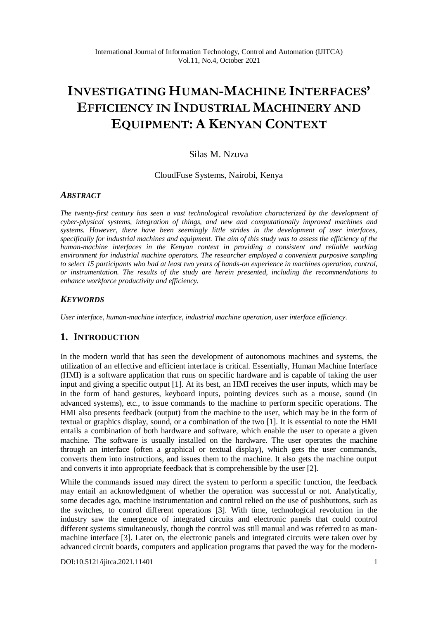# **INVESTIGATING HUMAN-MACHINE INTERFACES' EFFICIENCY IN INDUSTRIAL MACHINERY AND EQUIPMENT: A KENYAN CONTEXT**

## Silas M. Nzuva

CloudFuse Systems, Nairobi, Kenya

#### *ABSTRACT*

*The twenty-first century has seen a vast technological revolution characterized by the development of cyber-physical systems, integration of things, and new and computationally improved machines and systems. However, there have been seemingly little strides in the development of user interfaces, specifically for industrial machines and equipment. The aim of this study was to assess the efficiency of the human-machine interfaces in the Kenyan context in providing a consistent and reliable working environment for industrial machine operators. The researcher employed a convenient purposive sampling to select 15 participants who had at least two years of hands-on experience in machines operation, control, or instrumentation. The results of the study are herein presented, including the recommendations to enhance workforce productivity and efficiency.* 

#### *KEYWORDS*

*User interface, human-machine interface, industrial machine operation, user interface efficiency.*

## **1. INTRODUCTION**

In the modern world that has seen the development of autonomous machines and systems, the utilization of an effective and efficient interface is critical. Essentially, Human Machine Interface (HMI) is a software application that runs on specific hardware and is capable of taking the user input and giving a specific output [1]. At its best, an HMI receives the user inputs, which may be in the form of hand gestures, keyboard inputs, pointing devices such as a mouse, sound (in advanced systems), etc., to issue commands to the machine to perform specific operations. The HMI also presents feedback (output) from the machine to the user, which may be in the form of textual or graphics display, sound, or a combination of the two [1]. It is essential to note the HMI entails a combination of both hardware and software, which enable the user to operate a given machine. The software is usually installed on the hardware. The user operates the machine through an interface (often a graphical or textual display), which gets the user commands, converts them into instructions, and issues them to the machine. It also gets the machine output and converts it into appropriate feedback that is comprehensible by the user [2].

While the commands issued may direct the system to perform a specific function, the feedback may entail an acknowledgment of whether the operation was successful or not. Analytically, some decades ago, machine instrumentation and control relied on the use of pushbuttons, such as the switches, to control different operations [3]. With time, technological revolution in the industry saw the emergence of integrated circuits and electronic panels that could control different systems simultaneously, though the control was still manual and was referred to as manmachine interface [3]. Later on, the electronic panels and integrated circuits were taken over by advanced circuit boards, computers and application programs that paved the way for the modern-

[DOI:10.5121/ijitca.2021.11401](https://doi.org/10.5121/ijitca.2021.11401) 1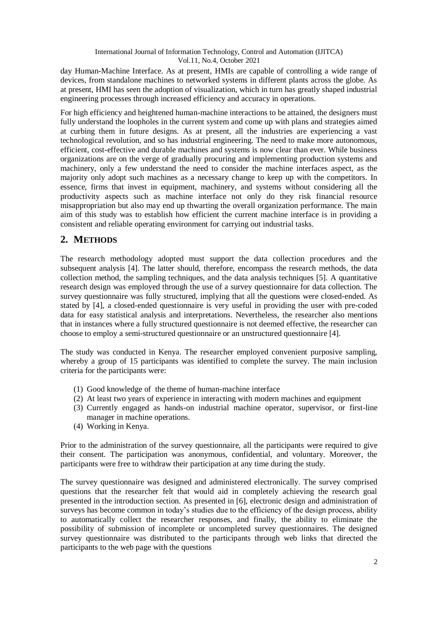day Human-Machine Interface. As at present, HMIs are capable of controlling a wide range of devices, from standalone machines to networked systems in different plants across the globe. As at present, HMI has seen the adoption of visualization, which in turn has greatly shaped industrial engineering processes through increased efficiency and accuracy in operations.

For high efficiency and heightened human-machine interactions to be attained, the designers must fully understand the loopholes in the current system and come up with plans and strategies aimed at curbing them in future designs. As at present, all the industries are experiencing a vast technological revolution, and so has industrial engineering. The need to make more autonomous, efficient, cost-effective and durable machines and systems is now clear than ever. While business organizations are on the verge of gradually procuring and implementing production systems and machinery, only a few understand the need to consider the machine interfaces aspect, as the majority only adopt such machines as a necessary change to keep up with the competitors. In essence, firms that invest in equipment, machinery, and systems without considering all the productivity aspects such as machine interface not only do they risk financial resource misappropriation but also may end up thwarting the overall organization performance. The main aim of this study was to establish how efficient the current machine interface is in providing a consistent and reliable operating environment for carrying out industrial tasks.

# **2. METHODS**

The research methodology adopted must support the data collection procedures and the subsequent analysis [4]. The latter should, therefore, encompass the research methods, the data collection method, the sampling techniques, and the data analysis techniques [5]. A quantitative research design was employed through the use of a survey questionnaire for data collection. The survey questionnaire was fully structured, implying that all the questions were closed-ended. As stated by [4], a closed-ended questionnaire is very useful in providing the user with pre-coded data for easy statistical analysis and interpretations. Nevertheless, the researcher also mentions that in instances where a fully structured questionnaire is not deemed effective, the researcher can choose to employ a semi-structured questionnaire or an unstructured questionnaire [4].

The study was conducted in Kenya. The researcher employed convenient purposive sampling, whereby a group of 15 participants was identified to complete the survey. The main inclusion criteria for the participants were:

- (1) Good knowledge of the theme of human-machine interface
- (2) At least two years of experience in interacting with modern machines and equipment
- (3) Currently engaged as hands-on industrial machine operator, supervisor, or first-line manager in machine operations.
- (4) Working in Kenya.

Prior to the administration of the survey questionnaire, all the participants were required to give their consent. The participation was anonymous, confidential, and voluntary. Moreover, the participants were free to withdraw their participation at any time during the study.

The survey questionnaire was designed and administered electronically. The survey comprised questions that the researcher felt that would aid in completely achieving the research goal presented in the introduction section. As presented in [6], electronic design and administration of surveys has become common in today's studies due to the efficiency of the design process, ability to automatically collect the researcher responses, and finally, the ability to eliminate the possibility of submission of incomplete or uncompleted survey questionnaires. The designed survey questionnaire was distributed to the participants through web links that directed the participants to the web page with the questions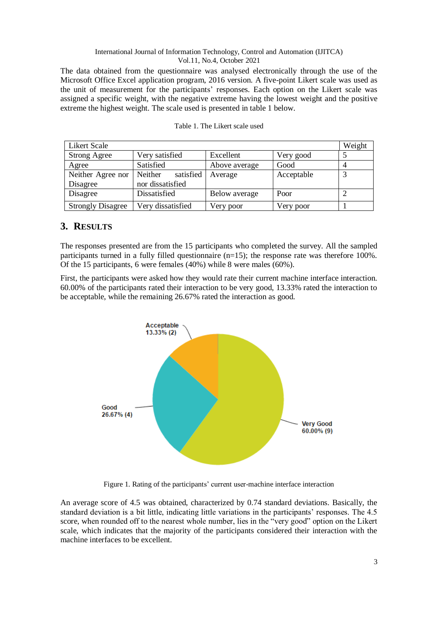The data obtained from the questionnaire was analysed electronically through the use of the Microsoft Office Excel application program, 2016 version. A five-point Likert scale was used as the unit of measurement for the participants' responses. Each option on the Likert scale was assigned a specific weight, with the negative extreme having the lowest weight and the positive extreme the highest weight. The scale used is presented in table 1 below.

| <b>Likert Scale</b>      |                      |               |            |  |
|--------------------------|----------------------|---------------|------------|--|
| <b>Strong Agree</b>      | Very satisfied       | Excellent     | Very good  |  |
| Agree                    | Satisfied            | Above average | Good       |  |
| Neither Agree nor        | satisfied<br>Neither | Average       | Acceptable |  |
| Disagree                 | nor dissatisfied     |               |            |  |
| Disagree                 | Dissatisfied         | Below average | Poor       |  |
| <b>Strongly Disagree</b> | Very dissatisfied    | Very poor     | Very poor  |  |

|  | Table 1. The Likert scale used |  |  |
|--|--------------------------------|--|--|
|--|--------------------------------|--|--|

## **3. RESULTS**

The responses presented are from the 15 participants who completed the survey. All the sampled participants turned in a fully filled questionnaire  $(n=15)$ ; the response rate was therefore 100%. Of the 15 participants, 6 were females (40%) while 8 were males (60%).

First, the participants were asked how they would rate their current machine interface interaction. 60.00% of the participants rated their interaction to be very good, 13.33% rated the interaction to be acceptable, while the remaining 26.67% rated the interaction as good.



Figure 1. Rating of the participants' current user-machine interface interaction

An average score of 4.5 was obtained, characterized by 0.74 standard deviations. Basically, the standard deviation is a bit little, indicating little variations in the participants' responses. The 4.5 score, when rounded off to the nearest whole number, lies in the "very good" option on the Likert scale, which indicates that the majority of the participants considered their interaction with the machine interfaces to be excellent.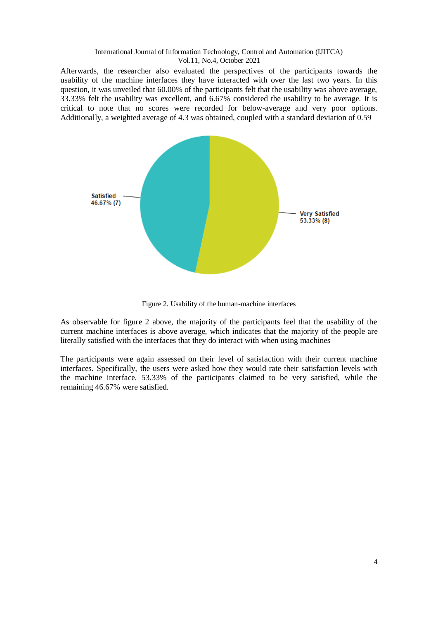Afterwards, the researcher also evaluated the perspectives of the participants towards the usability of the machine interfaces they have interacted with over the last two years. In this question, it was unveiled that 60.00% of the participants felt that the usability was above average, 33.33% felt the usability was excellent, and 6.67% considered the usability to be average. It is critical to note that no scores were recorded for below-average and very poor options. Additionally, a weighted average of 4.3 was obtained, coupled with a standard deviation of 0.59



Figure 2. Usability of the human-machine interfaces

As observable for figure 2 above, the majority of the participants feel that the usability of the current machine interfaces is above average, which indicates that the majority of the people are literally satisfied with the interfaces that they do interact with when using machines

The participants were again assessed on their level of satisfaction with their current machine interfaces. Specifically, the users were asked how they would rate their satisfaction levels with the machine interface. 53.33% of the participants claimed to be very satisfied, while the remaining 46.67% were satisfied.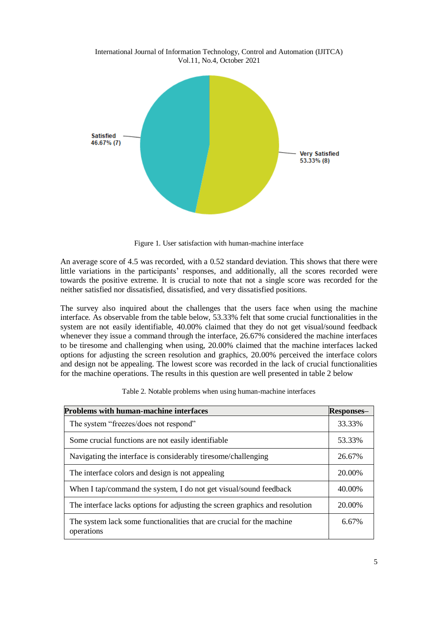International Journal of Information Technology, Control and Automation (IJITCA) Vol.11, No.4, October 2021



Figure 1. User satisfaction with human-machine interface

An average score of 4.5 was recorded, with a 0.52 standard deviation. This shows that there were little variations in the participants' responses, and additionally, all the scores recorded were towards the positive extreme. It is crucial to note that not a single score was recorded for the neither satisfied nor dissatisfied, dissatisfied, and very dissatisfied positions.

The survey also inquired about the challenges that the users face when using the machine interface. As observable from the table below, 53.33% felt that some crucial functionalities in the system are not easily identifiable, 40.00% claimed that they do not get visual/sound feedback whenever they issue a command through the interface, 26.67% considered the machine interfaces to be tiresome and challenging when using, 20.00% claimed that the machine interfaces lacked options for adjusting the screen resolution and graphics, 20.00% perceived the interface colors and design not be appealing. The lowest score was recorded in the lack of crucial functionalities for the machine operations. The results in this question are well presented in table 2 below

| <b>Problems with human-machine interfaces</b><br>Responses-                         |        |
|-------------------------------------------------------------------------------------|--------|
| The system "freezes/does not respond"                                               |        |
| Some crucial functions are not easily identifiable.                                 | 53.33% |
| Navigating the interface is considerably tiresome/challenging                       | 26.67% |
| The interface colors and design is not appealing                                    | 20.00% |
| When I tap/command the system, I do not get visual/sound feedback                   | 40.00% |
| The interface lacks options for adjusting the screen graphics and resolution        | 20.00% |
| The system lack some functionalities that are crucial for the machine<br>operations | 6.67%  |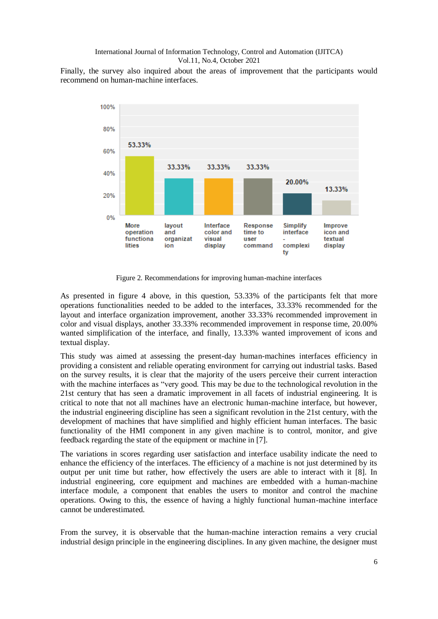Finally, the survey also inquired about the areas of improvement that the participants would recommend on human-machine interfaces.



Figure 2. Recommendations for improving human-machine interfaces

As presented in figure 4 above, in this question, 53.33% of the participants felt that more operations functionalities needed to be added to the interfaces, 33.33% recommended for the layout and interface organization improvement, another 33.33% recommended improvement in color and visual displays, another 33.33% recommended improvement in response time, 20.00% wanted simplification of the interface, and finally, 13.33% wanted improvement of icons and textual display.

This study was aimed at assessing the present-day human-machines interfaces efficiency in providing a consistent and reliable operating environment for carrying out industrial tasks. Based on the survey results, it is clear that the majority of the users perceive their current interaction with the machine interfaces as "very good. This may be due to the technological revolution in the 21st century that has seen a dramatic improvement in all facets of industrial engineering. It is critical to note that not all machines have an electronic human-machine interface, but however, the industrial engineering discipline has seen a significant revolution in the 21st century, with the development of machines that have simplified and highly efficient human interfaces. The basic functionality of the HMI component in any given machine is to control, monitor, and give feedback regarding the state of the equipment or machine in [7].

The variations in scores regarding user satisfaction and interface usability indicate the need to enhance the efficiency of the interfaces. The efficiency of a machine is not just determined by its output per unit time but rather, how effectively the users are able to interact with it [8]. In industrial engineering, core equipment and machines are embedded with a human-machine interface module, a component that enables the users to monitor and control the machine operations. Owing to this, the essence of having a highly functional human-machine interface cannot be underestimated.

From the survey, it is observable that the human-machine interaction remains a very crucial industrial design principle in the engineering disciplines. In any given machine, the designer must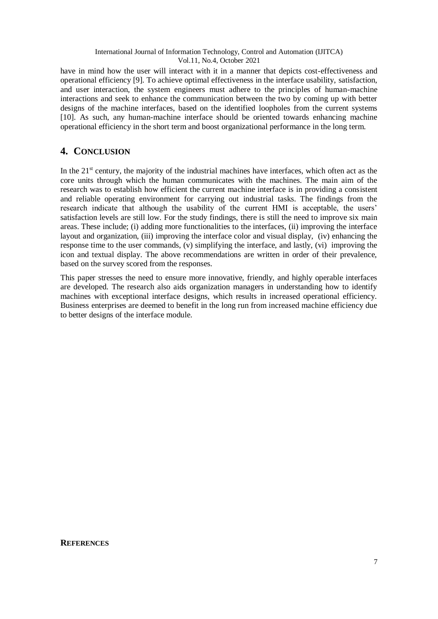have in mind how the user will interact with it in a manner that depicts cost-effectiveness and operational efficiency [9]. To achieve optimal effectiveness in the interface usability, satisfaction, and user interaction, the system engineers must adhere to the principles of human-machine interactions and seek to enhance the communication between the two by coming up with better designs of the machine interfaces, based on the identified loopholes from the current systems [10]. As such, any human-machine interface should be oriented towards enhancing machine operational efficiency in the short term and boost organizational performance in the long term.

# **4. CONCLUSION**

In the  $21<sup>st</sup>$  century, the majority of the industrial machines have interfaces, which often act as the core units through which the human communicates with the machines. The main aim of the research was to establish how efficient the current machine interface is in providing a consistent and reliable operating environment for carrying out industrial tasks. The findings from the research indicate that although the usability of the current HMI is acceptable, the users' satisfaction levels are still low. For the study findings, there is still the need to improve six main areas. These include; (i) adding more functionalities to the interfaces, (ii) improving the interface layout and organization, (iii) improving the interface color and visual display, (iv) enhancing the response time to the user commands, (v) simplifying the interface, and lastly, (vi) improving the icon and textual display. The above recommendations are written in order of their prevalence, based on the survey scored from the responses.

This paper stresses the need to ensure more innovative, friendly, and highly operable interfaces are developed. The research also aids organization managers in understanding how to identify machines with exceptional interface designs, which results in increased operational efficiency. Business enterprises are deemed to benefit in the long run from increased machine efficiency due to better designs of the interface module.

#### **REFERENCES**